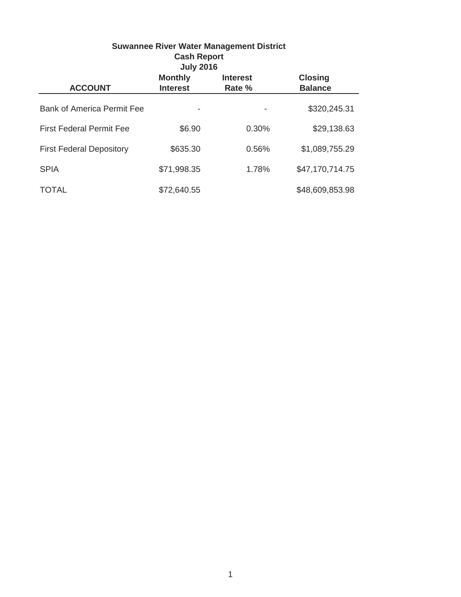|                                   | <b>Cash Report</b><br><b>July 2016</b> | <b>Suwannee River Water Management District</b> |                                  |
|-----------------------------------|----------------------------------------|-------------------------------------------------|----------------------------------|
| <b>ACCOUNT</b>                    | <b>Monthly</b><br><b>Interest</b>      | <b>Interest</b><br>Rate %                       | <b>Closing</b><br><b>Balance</b> |
| <b>Bank of America Permit Fee</b> |                                        |                                                 | \$320,245.31                     |
| <b>First Federal Permit Fee</b>   | \$6.90                                 | 0.30%                                           | \$29,138.63                      |
| <b>First Federal Depository</b>   | \$635.30                               | 0.56%                                           | \$1,089,755.29                   |
| <b>SPIA</b>                       | \$71,998.35                            | 1.78%                                           | \$47,170,714.75                  |
| TOTAL                             | \$72,640.55                            |                                                 | \$48,609,853.98                  |

1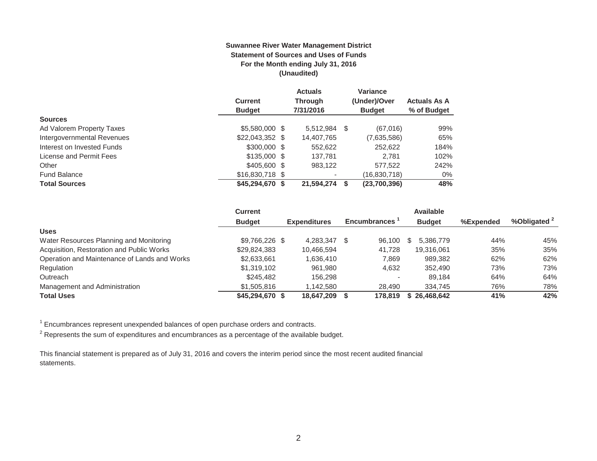#### **Suwannee River Water Management District Statement of Sources and Uses of Funds For the Month ending July 31, 2016 (Unaudited)**

|                            |                  | <b>Actuals</b> | <b>Variance</b> |                     |
|----------------------------|------------------|----------------|-----------------|---------------------|
|                            | <b>Current</b>   | <b>Through</b> | (Under)/Over    | <b>Actuals As A</b> |
|                            | <b>Budget</b>    | 7/31/2016      | <b>Budget</b>   | % of Budget         |
| <b>Sources</b>             |                  |                |                 |                     |
| Ad Valorem Property Taxes  | \$5,580,000 \$   | 5,512,984      | (67,016)<br>S   | 99%                 |
| Intergovernmental Revenues | $$22,043,352$ \$ | 14,407,765     | (7,635,586)     | 65%                 |
| Interest on Invested Funds | $$300,000$ \$    | 552,622        | 252,622         | 184%                |
| License and Permit Fees    | $$135,000$ \$    | 137.781        | 2.781           | 102%                |
| Other                      | \$405,600 \$     | 983.122        | 577.522         | 242%                |
| <b>Fund Balance</b>        | $$16,830,718$ \$ |                | (16,830,718)    | $0\%$               |
| <b>Total Sources</b>       | $$45,294,670$ \$ | 21,594,274     | (23,700,396)    | 48%                 |

|                                              | <b>Current</b>  |                     |   |                     |   | <b>Available</b> |           |            |
|----------------------------------------------|-----------------|---------------------|---|---------------------|---|------------------|-----------|------------|
|                                              | <b>Budget</b>   | <b>Expenditures</b> |   | <b>Encumbrances</b> |   | <b>Budget</b>    | %Expended | %Obligated |
| <b>Uses</b>                                  |                 |                     |   |                     |   |                  |           |            |
| Water Resources Planning and Monitoring      | \$9,766,226 \$  | 4.283.347           | S | 96.100              | S | 5.386.779        | 44%       | 45%        |
| Acquisition, Restoration and Public Works    | \$29,824,383    | 10,466,594          |   | 41.728              |   | 19,316,061       | 35%       | 35%        |
| Operation and Maintenance of Lands and Works | \$2,633,661     | 1,636,410           |   | 7,869               |   | 989,382          | 62%       | 62%        |
| Regulation                                   | \$1,319,102     | 961.980             |   | 4,632               |   | 352,490          | 73%       | 73%        |
| Outreach                                     | \$245,482       | 156.298             |   |                     |   | 89.184           | 64%       | 64%        |
| Management and Administration                | \$1,505,816     | 1.142.580           |   | 28.490              |   | 334.745          | 76%       | 78%        |
| <b>Total Uses</b>                            | \$45,294,670 \$ | 18.647.209          |   | 178.819             |   | \$26,468,642     | 41%       | 42%        |

 $1$  Encumbrances represent unexpended balances of open purchase orders and contracts.

 $2$  Represents the sum of expenditures and encumbrances as a percentage of the available budget.

This financial statement is prepared as of July 31, 2016 and covers the interim period since the most recent audited financial statements.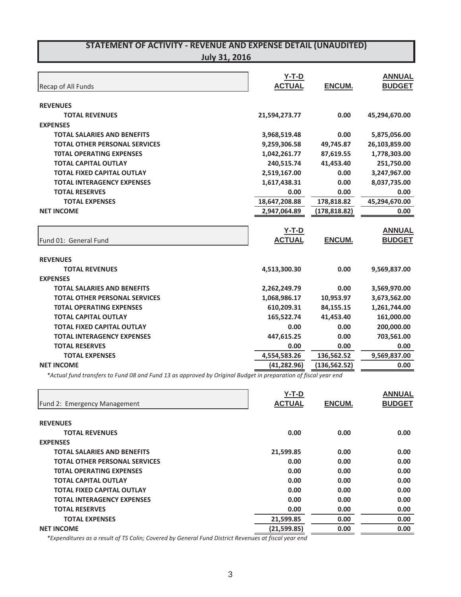|  |  |  |  | <b>July 31, 2016</b> |  |
|--|--|--|--|----------------------|--|
|--|--|--|--|----------------------|--|

| <b>Recap of All Funds</b>            | $Y-T-D$<br><b>ACTUAL</b> | <b>ENCUM.</b> | <b>ANNUAL</b><br><b>BUDGET</b> |
|--------------------------------------|--------------------------|---------------|--------------------------------|
| <b>REVENUES</b>                      |                          |               |                                |
| <b>TOTAL REVENUES</b>                | 21,594,273.77            | 0.00          | 45,294,670.00                  |
| <b>EXPENSES</b>                      |                          |               |                                |
| <b>TOTAL SALARIES AND BENEFITS</b>   | 3,968,519.48             | 0.00          | 5,875,056.00                   |
| <b>TOTAL OTHER PERSONAL SERVICES</b> | 9,259,306.58             | 49,745.87     | 26,103,859.00                  |
| <b>TOTAL OPERATING EXPENSES</b>      | 1,042,261.77             | 87,619.55     | 1,778,303.00                   |
| <b>TOTAL CAPITAL OUTLAY</b>          | 240,515.74               | 41,453.40     | 251,750.00                     |
| <b>TOTAL FIXED CAPITAL OUTLAY</b>    | 2,519,167.00             | 0.00          | 3,247,967.00                   |
| <b>TOTAL INTERAGENCY EXPENSES</b>    | 1,617,438.31             | 0.00          | 8,037,735.00                   |
| <b>TOTAL RESERVES</b>                | 0.00                     | 0.00          | 0.00                           |
| <b>TOTAL EXPENSES</b>                | 18,647,208.88            | 178,818.82    | 45,294,670.00                  |
| <b>NET INCOME</b>                    | 2,947,064.89             | (178, 818.82) | 0.00                           |
|                                      | $Y-T-D$                  |               | <b>ANNUAL</b>                  |
| Fund 01: General Fund                | <b>ACTUAL</b>            | <b>ENCUM.</b> | <b>BUDGET</b>                  |
| <b>REVENUES</b>                      |                          |               |                                |
| <b>TOTAL REVENUES</b>                | 4,513,300.30             | 0.00          | 9,569,837.00                   |
| <b>EXPENSES</b>                      |                          |               |                                |
| <b>TOTAL SALARIES AND BENEFITS</b>   | 2,262,249.79             | 0.00          | 3,569,970.00                   |
| <b>TOTAL OTHER PERSONAL SERVICES</b> | 1,068,986.17             | 10,953.97     | 3,673,562.00                   |
| <b>TOTAL OPERATING EXPENSES</b>      | 610,209.31               | 84,155.15     | 1,261,744.00                   |
| <b>TOTAL CAPITAL OUTLAY</b>          | 165,522.74               | 41,453.40     | 161,000.00                     |
| <b>TOTAL FIXED CAPITAL OUTLAY</b>    | 0.00                     | 0.00          | 200,000.00                     |
| <b>TOTAL INTERAGENCY EXPENSES</b>    | 447,615.25               | 0.00          | 703,561.00                     |
| <b>TOTAL RESERVES</b>                | 0.00                     | 0.00          | 0.00                           |
| <b>TOTAL EXPENSES</b>                | 4,554,583.26             | 136,562.52    | 9,569,837.00                   |
| <b>NET INCOME</b>                    | (41, 282.96)             | (136, 562.52) | 0.00                           |

\*Actual fund transfers to Fund 08 and Fund 13 as approved by Original Budget in preparation of fiscal year end

|                                      | $Y-T-D$       |               | <b>ANNUAL</b> |
|--------------------------------------|---------------|---------------|---------------|
| Fund 2: Emergency Management         | <b>ACTUAL</b> | <b>ENCUM.</b> | <b>BUDGET</b> |
| <b>REVENUES</b>                      |               |               |               |
| <b>TOTAL REVENUES</b>                | 0.00          | 0.00          | 0.00          |
| <b>EXPENSES</b>                      |               |               |               |
| <b>TOTAL SALARIES AND BENEFITS</b>   | 21,599.85     | 0.00          | 0.00          |
| <b>TOTAL OTHER PERSONAL SERVICES</b> | 0.00          | 0.00          | 0.00          |
| <b>TOTAL OPERATING EXPENSES</b>      | 0.00          | 0.00          | 0.00          |
| <b>TOTAL CAPITAL OUTLAY</b>          | 0.00          | 0.00          | 0.00          |
| <b>TOTAL FIXED CAPITAL OUTLAY</b>    | 0.00          | 0.00          | 0.00          |
| <b>TOTAL INTERAGENCY EXPENSES</b>    | 0.00          | 0.00          | 0.00          |
| <b>TOTAL RESERVES</b>                | 0.00          | 0.00          | 0.00          |
| <b>TOTAL EXPENSES</b>                | 21,599.85     | 0.00          | 0.00          |
| <b>NET INCOME</b>                    | (21,599.85)   | 0.00          | 0.00          |

*\*Expenditures as a result of TS Colin; Covered by General Fund District Revenues at fiscal year end*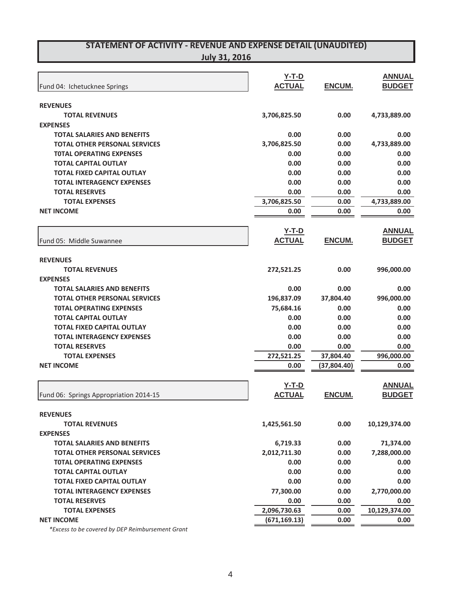| <b>July 31, 2016</b> |
|----------------------|
|----------------------|

|                                        | <u>Y-T-D</u>  |               | <b>ANNUAL</b> |
|----------------------------------------|---------------|---------------|---------------|
| Fund 04: Ichetucknee Springs           | <b>ACTUAL</b> | ENCUM.        | <b>BUDGET</b> |
| <b>REVENUES</b>                        |               |               |               |
| <b>TOTAL REVENUES</b>                  | 3,706,825.50  | 0.00          | 4,733,889.00  |
| <b>EXPENSES</b>                        |               |               |               |
| <b>TOTAL SALARIES AND BENEFITS</b>     | 0.00          | 0.00          | 0.00          |
| <b>TOTAL OTHER PERSONAL SERVICES</b>   | 3,706,825.50  | 0.00          | 4,733,889.00  |
| <b>TOTAL OPERATING EXPENSES</b>        | 0.00          | 0.00          | 0.00          |
| <b>TOTAL CAPITAL OUTLAY</b>            | 0.00          | 0.00          | 0.00          |
| <b>TOTAL FIXED CAPITAL OUTLAY</b>      | 0.00          | 0.00          | 0.00          |
| <b>TOTAL INTERAGENCY EXPENSES</b>      | 0.00          | 0.00          | 0.00          |
| <b>TOTAL RESERVES</b>                  | 0.00          | 0.00          | 0.00          |
| <b>TOTAL EXPENSES</b>                  | 3,706,825.50  | 0.00          | 4,733,889.00  |
| <b>NET INCOME</b>                      | 0.00          | 0.00          | 0.00          |
|                                        | <u>Y-T-D</u>  |               | <b>ANNUAL</b> |
| Fund 05: Middle Suwannee               | <b>ACTUAL</b> | <b>ENCUM.</b> | <b>BUDGET</b> |
| <b>REVENUES</b>                        |               |               |               |
| <b>TOTAL REVENUES</b>                  | 272,521.25    | 0.00          | 996,000.00    |
| <b>EXPENSES</b>                        |               |               |               |
| TOTAL SALARIES AND BENEFITS            | 0.00          | 0.00          | 0.00          |
| <b>TOTAL OTHER PERSONAL SERVICES</b>   | 196,837.09    | 37,804.40     | 996,000.00    |
| <b>TOTAL OPERATING EXPENSES</b>        | 75,684.16     | 0.00          | 0.00          |
| <b>TOTAL CAPITAL OUTLAY</b>            | 0.00          | 0.00          | 0.00          |
| <b>TOTAL FIXED CAPITAL OUTLAY</b>      | 0.00          | 0.00          | 0.00          |
| <b>TOTAL INTERAGENCY EXPENSES</b>      | 0.00          | 0.00          | 0.00          |
| <b>TOTAL RESERVES</b>                  | 0.00          | 0.00          | 0.00          |
| <b>TOTAL EXPENSES</b>                  | 272,521.25    | 37,804.40     | 996,000.00    |
| <b>NET INCOME</b>                      | 0.00          | (37,804.40)   | 0.00          |
|                                        | $Y-T-D$       |               | <b>ANNUAL</b> |
| Fund 06: Springs Appropriation 2014-15 | <b>ACTUAL</b> | <b>ENCUM.</b> | <b>BUDGET</b> |
| <b>REVENUES</b>                        |               |               |               |
| <b>TOTAL REVENUES</b>                  | 1,425,561.50  | 0.00          | 10,129,374.00 |
| <b>EXPENSES</b>                        |               |               |               |
| <b>TOTAL SALARIES AND BENEFITS</b>     | 6,719.33      | 0.00          | 71,374.00     |
| <b>TOTAL OTHER PERSONAL SERVICES</b>   | 2,012,711.30  | 0.00          | 7,288,000.00  |
| <b>TOTAL OPERATING EXPENSES</b>        | 0.00          | 0.00          | 0.00          |
| <b>TOTAL CAPITAL OUTLAY</b>            | 0.00          | 0.00          | 0.00          |
| <b>TOTAL FIXED CAPITAL OUTLAY</b>      | 0.00          | 0.00          | 0.00          |
| <b>TOTAL INTERAGENCY EXPENSES</b>      | 77,300.00     | 0.00          | 2,770,000.00  |
| <b>TOTAL RESERVES</b>                  | 0.00          | 0.00          | 0.00          |
| <b>TOTAL EXPENSES</b>                  | 2,096,730.63  | 0.00          | 10,129,374.00 |
| <b>NET INCOME</b>                      | (671, 169.13) | 0.00          | 0.00          |

*\*Excess to be covered by DEP Reimbursement Grant*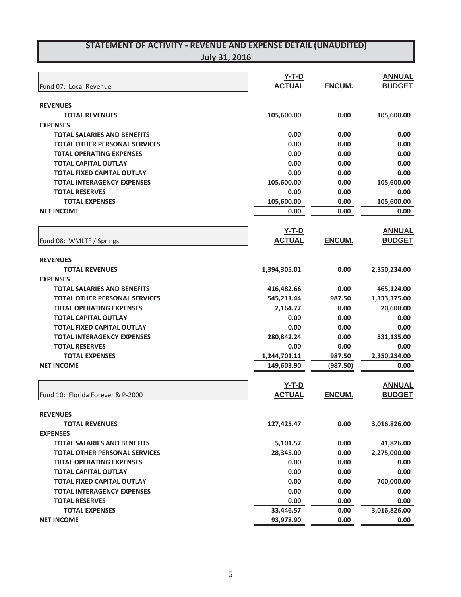| July 31, 2016 |
|---------------|
|---------------|

| Fund 07: Local Revenue                                                  | $Y-T-D$<br><b>ACTUAL</b> | ENCUM.        | <b>ANNUAL</b><br><b>BUDGET</b> |
|-------------------------------------------------------------------------|--------------------------|---------------|--------------------------------|
|                                                                         |                          |               |                                |
| <b>REVENUES</b>                                                         |                          |               |                                |
| <b>TOTAL REVENUES</b>                                                   | 105,600.00               | 0.00          | 105,600.00                     |
| <b>EXPENSES</b>                                                         |                          |               |                                |
| <b>TOTAL SALARIES AND BENEFITS</b>                                      | 0.00                     | 0.00          | 0.00                           |
| <b>TOTAL OTHER PERSONAL SERVICES</b><br><b>TOTAL OPERATING EXPENSES</b> | 0.00<br>0.00             | 0.00<br>0.00  | 0.00<br>0.00                   |
| <b>TOTAL CAPITAL OUTLAY</b>                                             | 0.00                     | 0.00          | 0.00                           |
| <b>TOTAL FIXED CAPITAL OUTLAY</b>                                       | 0.00                     | 0.00          | 0.00                           |
| <b>TOTAL INTERAGENCY EXPENSES</b>                                       | 105,600.00               | 0.00          | 105,600.00                     |
| <b>TOTAL RESERVES</b>                                                   | 0.00                     | 0.00          | 0.00                           |
| <b>TOTAL EXPENSES</b>                                                   | 105,600.00               | 0.00          | 105,600.00                     |
| <b>NET INCOME</b>                                                       | 0.00                     | 0.00          | 0.00                           |
|                                                                         |                          |               |                                |
|                                                                         | <b>Y-T-D</b>             |               | <b>ANNUAL</b>                  |
| Fund 08: WMLTF / Springs                                                | <b>ACTUAL</b>            | ENCUM.        | <b>BUDGET</b>                  |
| <b>REVENUES</b>                                                         |                          |               |                                |
| <b>TOTAL REVENUES</b>                                                   | 1,394,305.01             | 0.00          | 2,350,234.00                   |
| <b>EXPENSES</b>                                                         |                          |               |                                |
| <b>TOTAL SALARIES AND BENEFITS</b>                                      | 416,482.66               | 0.00          | 465,124.00                     |
| <b>TOTAL OTHER PERSONAL SERVICES</b>                                    | 545,211.44               | 987.50        | 1,333,375.00                   |
| <b>TOTAL OPERATING EXPENSES</b>                                         | 2,164.77                 | 0.00          | 20,600.00                      |
| <b>TOTAL CAPITAL OUTLAY</b>                                             | 0.00                     | 0.00          | 0.00                           |
| <b>TOTAL FIXED CAPITAL OUTLAY</b>                                       | 0.00                     | 0.00          | 0.00                           |
| <b>TOTAL INTERAGENCY EXPENSES</b>                                       | 280,842.24               | 0.00          | 531,135.00                     |
| <b>TOTAL RESERVES</b>                                                   | 0.00                     | 0.00          | 0.00                           |
| <b>TOTAL EXPENSES</b>                                                   | 1,244,701.11             | 987.50        | 2,350,234.00                   |
| <b>NET INCOME</b>                                                       | 149,603.90               | (987.50)      | 0.00                           |
|                                                                         |                          |               |                                |
|                                                                         | $Y-T-D$                  |               | <b>ANNUAL</b>                  |
| Fund 10: Florida Forever & P-2000                                       | <b>ACTUAL</b>            | <b>ENCUM.</b> | <b>BUDGET</b>                  |
| <b>REVENUES</b>                                                         |                          |               |                                |
| <b>TOTAL REVENUES</b>                                                   | 127,425.47               | 0.00          | 3,016,826.00                   |
| <b>EXPENSES</b>                                                         |                          |               |                                |
| <b>TOTAL SALARIES AND BENEFITS</b>                                      | 5,101.57                 | 0.00          | 41,826.00                      |
| <b>TOTAL OTHER PERSONAL SERVICES</b>                                    | 28,345.00                | 0.00          | 2,275,000.00                   |
| <b>TOTAL OPERATING EXPENSES</b>                                         | 0.00                     | 0.00          | 0.00                           |
| <b>TOTAL CAPITAL OUTLAY</b>                                             | 0.00                     | 0.00          | 0.00                           |
| <b>TOTAL FIXED CAPITAL OUTLAY</b>                                       | 0.00                     | 0.00          | 700,000.00                     |
| <b>TOTAL INTERAGENCY EXPENSES</b>                                       | 0.00                     | 0.00          | 0.00                           |
| <b>TOTAL RESERVES</b>                                                   | 0.00                     | 0.00          | 0.00                           |
| <b>TOTAL EXPENSES</b>                                                   | 33,446.57                | 0.00          | 3,016,826.00                   |
| <b>NET INCOME</b>                                                       | 93,978.90                | 0.00          | 0.00                           |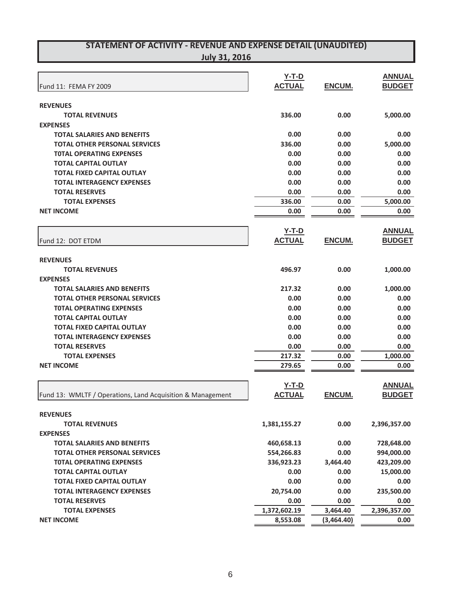| <b>REVENUES</b><br>336.00<br>5,000.00<br>0.00<br><b>TOTAL REVENUES</b><br><b>EXPENSES</b><br>0.00<br><b>TOTAL SALARIES AND BENEFITS</b><br>0.00<br>0.00<br>336.00<br><b>TOTAL OTHER PERSONAL SERVICES</b><br>0.00<br>5,000.00<br>0.00<br><b>TOTAL OPERATING EXPENSES</b><br>0.00<br>0.00<br>0.00<br><b>TOTAL CAPITAL OUTLAY</b><br>0.00<br>0.00<br><b>TOTAL FIXED CAPITAL OUTLAY</b><br>0.00<br>0.00<br>0.00<br><b>TOTAL INTERAGENCY EXPENSES</b><br>0.00<br>0.00<br>0.00<br><b>TOTAL RESERVES</b><br>0.00<br>0.00<br>0.00<br>336.00<br><b>TOTAL EXPENSES</b><br>0.00<br>5,000.00<br><b>NET INCOME</b><br>0.00<br>0.00<br>0.00<br><b>ANNUAL</b><br>$Y-T-D$<br><b>ACTUAL</b><br><b>ENCUM.</b><br><b>BUDGET</b><br>Fund 12: DOT ETDM<br><b>REVENUES</b><br>496.97<br>0.00<br>1,000.00<br><b>TOTAL REVENUES</b><br><b>EXPENSES</b><br>217.32<br><b>TOTAL SALARIES AND BENEFITS</b><br>0.00<br>1,000.00<br>0.00<br><b>TOTAL OTHER PERSONAL SERVICES</b><br>0.00<br>0.00<br>0.00<br><b>TOTAL OPERATING EXPENSES</b><br>0.00<br>0.00<br><b>TOTAL CAPITAL OUTLAY</b><br>0.00<br>0.00<br>0.00<br><b>TOTAL FIXED CAPITAL OUTLAY</b><br>0.00<br>0.00<br>0.00<br><b>TOTAL INTERAGENCY EXPENSES</b><br>0.00<br>0.00<br>0.00<br><b>TOTAL RESERVES</b><br>0.00<br>0.00<br>0.00<br>217.32<br>1,000.00<br><b>TOTAL EXPENSES</b><br>0.00<br><b>NET INCOME</b><br>279.65<br>0.00<br>0.00<br>$Y-T-D$<br><b>ANNUAL</b><br><b>ACTUAL</b><br><b>ENCUM.</b><br><b>BUDGET</b><br>Fund 13: WMLTF / Operations, Land Acquisition & Management<br><b>REVENUES</b><br><b>TOTAL REVENUES</b><br>1,381,155.27<br>0.00<br>2,396,357.00<br><b>EXPENSES</b><br><b>TOTAL SALARIES AND BENEFITS</b><br>460,658.13<br>0.00<br>728,648.00<br><b>TOTAL OTHER PERSONAL SERVICES</b><br>554,266.83<br>0.00<br>994,000.00<br><b>TOTAL OPERATING EXPENSES</b><br>336,923.23<br>423,209.00<br>3,464.40<br>0.00<br>15,000.00<br><b>TOTAL CAPITAL OUTLAY</b><br>0.00<br><b>TOTAL FIXED CAPITAL OUTLAY</b><br>0.00<br>0.00<br>0.00<br>20,754.00<br><b>TOTAL INTERAGENCY EXPENSES</b><br>0.00<br>235,500.00<br>0.00<br><b>TOTAL RESERVES</b><br>0.00<br>0.00<br>1,372,602.19<br>3,464.40<br>2,396,357.00<br><b>TOTAL EXPENSES</b><br><b>NET INCOME</b><br>8,553.08<br>(3,464.40)<br>0.00 | Fund 11: FEMA FY 2009 | $Y-T-D$<br><b>ACTUAL</b> | ENCUM. | <b>ANNUAL</b><br><b>BUDGET</b> |
|-------------------------------------------------------------------------------------------------------------------------------------------------------------------------------------------------------------------------------------------------------------------------------------------------------------------------------------------------------------------------------------------------------------------------------------------------------------------------------------------------------------------------------------------------------------------------------------------------------------------------------------------------------------------------------------------------------------------------------------------------------------------------------------------------------------------------------------------------------------------------------------------------------------------------------------------------------------------------------------------------------------------------------------------------------------------------------------------------------------------------------------------------------------------------------------------------------------------------------------------------------------------------------------------------------------------------------------------------------------------------------------------------------------------------------------------------------------------------------------------------------------------------------------------------------------------------------------------------------------------------------------------------------------------------------------------------------------------------------------------------------------------------------------------------------------------------------------------------------------------------------------------------------------------------------------------------------------------------------------------------------------------------------------------------------------------------------------------------------------------------------------------------------------------------------------------------------------------------------------------|-----------------------|--------------------------|--------|--------------------------------|
|                                                                                                                                                                                                                                                                                                                                                                                                                                                                                                                                                                                                                                                                                                                                                                                                                                                                                                                                                                                                                                                                                                                                                                                                                                                                                                                                                                                                                                                                                                                                                                                                                                                                                                                                                                                                                                                                                                                                                                                                                                                                                                                                                                                                                                           |                       |                          |        |                                |
|                                                                                                                                                                                                                                                                                                                                                                                                                                                                                                                                                                                                                                                                                                                                                                                                                                                                                                                                                                                                                                                                                                                                                                                                                                                                                                                                                                                                                                                                                                                                                                                                                                                                                                                                                                                                                                                                                                                                                                                                                                                                                                                                                                                                                                           |                       |                          |        |                                |
|                                                                                                                                                                                                                                                                                                                                                                                                                                                                                                                                                                                                                                                                                                                                                                                                                                                                                                                                                                                                                                                                                                                                                                                                                                                                                                                                                                                                                                                                                                                                                                                                                                                                                                                                                                                                                                                                                                                                                                                                                                                                                                                                                                                                                                           |                       |                          |        |                                |
|                                                                                                                                                                                                                                                                                                                                                                                                                                                                                                                                                                                                                                                                                                                                                                                                                                                                                                                                                                                                                                                                                                                                                                                                                                                                                                                                                                                                                                                                                                                                                                                                                                                                                                                                                                                                                                                                                                                                                                                                                                                                                                                                                                                                                                           |                       |                          |        |                                |
|                                                                                                                                                                                                                                                                                                                                                                                                                                                                                                                                                                                                                                                                                                                                                                                                                                                                                                                                                                                                                                                                                                                                                                                                                                                                                                                                                                                                                                                                                                                                                                                                                                                                                                                                                                                                                                                                                                                                                                                                                                                                                                                                                                                                                                           |                       |                          |        |                                |
|                                                                                                                                                                                                                                                                                                                                                                                                                                                                                                                                                                                                                                                                                                                                                                                                                                                                                                                                                                                                                                                                                                                                                                                                                                                                                                                                                                                                                                                                                                                                                                                                                                                                                                                                                                                                                                                                                                                                                                                                                                                                                                                                                                                                                                           |                       |                          |        |                                |
|                                                                                                                                                                                                                                                                                                                                                                                                                                                                                                                                                                                                                                                                                                                                                                                                                                                                                                                                                                                                                                                                                                                                                                                                                                                                                                                                                                                                                                                                                                                                                                                                                                                                                                                                                                                                                                                                                                                                                                                                                                                                                                                                                                                                                                           |                       |                          |        |                                |
|                                                                                                                                                                                                                                                                                                                                                                                                                                                                                                                                                                                                                                                                                                                                                                                                                                                                                                                                                                                                                                                                                                                                                                                                                                                                                                                                                                                                                                                                                                                                                                                                                                                                                                                                                                                                                                                                                                                                                                                                                                                                                                                                                                                                                                           |                       |                          |        |                                |
|                                                                                                                                                                                                                                                                                                                                                                                                                                                                                                                                                                                                                                                                                                                                                                                                                                                                                                                                                                                                                                                                                                                                                                                                                                                                                                                                                                                                                                                                                                                                                                                                                                                                                                                                                                                                                                                                                                                                                                                                                                                                                                                                                                                                                                           |                       |                          |        |                                |
|                                                                                                                                                                                                                                                                                                                                                                                                                                                                                                                                                                                                                                                                                                                                                                                                                                                                                                                                                                                                                                                                                                                                                                                                                                                                                                                                                                                                                                                                                                                                                                                                                                                                                                                                                                                                                                                                                                                                                                                                                                                                                                                                                                                                                                           |                       |                          |        |                                |
|                                                                                                                                                                                                                                                                                                                                                                                                                                                                                                                                                                                                                                                                                                                                                                                                                                                                                                                                                                                                                                                                                                                                                                                                                                                                                                                                                                                                                                                                                                                                                                                                                                                                                                                                                                                                                                                                                                                                                                                                                                                                                                                                                                                                                                           |                       |                          |        |                                |
|                                                                                                                                                                                                                                                                                                                                                                                                                                                                                                                                                                                                                                                                                                                                                                                                                                                                                                                                                                                                                                                                                                                                                                                                                                                                                                                                                                                                                                                                                                                                                                                                                                                                                                                                                                                                                                                                                                                                                                                                                                                                                                                                                                                                                                           |                       |                          |        |                                |
|                                                                                                                                                                                                                                                                                                                                                                                                                                                                                                                                                                                                                                                                                                                                                                                                                                                                                                                                                                                                                                                                                                                                                                                                                                                                                                                                                                                                                                                                                                                                                                                                                                                                                                                                                                                                                                                                                                                                                                                                                                                                                                                                                                                                                                           |                       |                          |        |                                |
|                                                                                                                                                                                                                                                                                                                                                                                                                                                                                                                                                                                                                                                                                                                                                                                                                                                                                                                                                                                                                                                                                                                                                                                                                                                                                                                                                                                                                                                                                                                                                                                                                                                                                                                                                                                                                                                                                                                                                                                                                                                                                                                                                                                                                                           |                       |                          |        |                                |
|                                                                                                                                                                                                                                                                                                                                                                                                                                                                                                                                                                                                                                                                                                                                                                                                                                                                                                                                                                                                                                                                                                                                                                                                                                                                                                                                                                                                                                                                                                                                                                                                                                                                                                                                                                                                                                                                                                                                                                                                                                                                                                                                                                                                                                           |                       |                          |        |                                |
|                                                                                                                                                                                                                                                                                                                                                                                                                                                                                                                                                                                                                                                                                                                                                                                                                                                                                                                                                                                                                                                                                                                                                                                                                                                                                                                                                                                                                                                                                                                                                                                                                                                                                                                                                                                                                                                                                                                                                                                                                                                                                                                                                                                                                                           |                       |                          |        |                                |
|                                                                                                                                                                                                                                                                                                                                                                                                                                                                                                                                                                                                                                                                                                                                                                                                                                                                                                                                                                                                                                                                                                                                                                                                                                                                                                                                                                                                                                                                                                                                                                                                                                                                                                                                                                                                                                                                                                                                                                                                                                                                                                                                                                                                                                           |                       |                          |        |                                |
|                                                                                                                                                                                                                                                                                                                                                                                                                                                                                                                                                                                                                                                                                                                                                                                                                                                                                                                                                                                                                                                                                                                                                                                                                                                                                                                                                                                                                                                                                                                                                                                                                                                                                                                                                                                                                                                                                                                                                                                                                                                                                                                                                                                                                                           |                       |                          |        |                                |
|                                                                                                                                                                                                                                                                                                                                                                                                                                                                                                                                                                                                                                                                                                                                                                                                                                                                                                                                                                                                                                                                                                                                                                                                                                                                                                                                                                                                                                                                                                                                                                                                                                                                                                                                                                                                                                                                                                                                                                                                                                                                                                                                                                                                                                           |                       |                          |        |                                |
|                                                                                                                                                                                                                                                                                                                                                                                                                                                                                                                                                                                                                                                                                                                                                                                                                                                                                                                                                                                                                                                                                                                                                                                                                                                                                                                                                                                                                                                                                                                                                                                                                                                                                                                                                                                                                                                                                                                                                                                                                                                                                                                                                                                                                                           |                       |                          |        |                                |
|                                                                                                                                                                                                                                                                                                                                                                                                                                                                                                                                                                                                                                                                                                                                                                                                                                                                                                                                                                                                                                                                                                                                                                                                                                                                                                                                                                                                                                                                                                                                                                                                                                                                                                                                                                                                                                                                                                                                                                                                                                                                                                                                                                                                                                           |                       |                          |        |                                |
|                                                                                                                                                                                                                                                                                                                                                                                                                                                                                                                                                                                                                                                                                                                                                                                                                                                                                                                                                                                                                                                                                                                                                                                                                                                                                                                                                                                                                                                                                                                                                                                                                                                                                                                                                                                                                                                                                                                                                                                                                                                                                                                                                                                                                                           |                       |                          |        |                                |
|                                                                                                                                                                                                                                                                                                                                                                                                                                                                                                                                                                                                                                                                                                                                                                                                                                                                                                                                                                                                                                                                                                                                                                                                                                                                                                                                                                                                                                                                                                                                                                                                                                                                                                                                                                                                                                                                                                                                                                                                                                                                                                                                                                                                                                           |                       |                          |        |                                |
|                                                                                                                                                                                                                                                                                                                                                                                                                                                                                                                                                                                                                                                                                                                                                                                                                                                                                                                                                                                                                                                                                                                                                                                                                                                                                                                                                                                                                                                                                                                                                                                                                                                                                                                                                                                                                                                                                                                                                                                                                                                                                                                                                                                                                                           |                       |                          |        |                                |
|                                                                                                                                                                                                                                                                                                                                                                                                                                                                                                                                                                                                                                                                                                                                                                                                                                                                                                                                                                                                                                                                                                                                                                                                                                                                                                                                                                                                                                                                                                                                                                                                                                                                                                                                                                                                                                                                                                                                                                                                                                                                                                                                                                                                                                           |                       |                          |        |                                |
|                                                                                                                                                                                                                                                                                                                                                                                                                                                                                                                                                                                                                                                                                                                                                                                                                                                                                                                                                                                                                                                                                                                                                                                                                                                                                                                                                                                                                                                                                                                                                                                                                                                                                                                                                                                                                                                                                                                                                                                                                                                                                                                                                                                                                                           |                       |                          |        |                                |
|                                                                                                                                                                                                                                                                                                                                                                                                                                                                                                                                                                                                                                                                                                                                                                                                                                                                                                                                                                                                                                                                                                                                                                                                                                                                                                                                                                                                                                                                                                                                                                                                                                                                                                                                                                                                                                                                                                                                                                                                                                                                                                                                                                                                                                           |                       |                          |        |                                |
|                                                                                                                                                                                                                                                                                                                                                                                                                                                                                                                                                                                                                                                                                                                                                                                                                                                                                                                                                                                                                                                                                                                                                                                                                                                                                                                                                                                                                                                                                                                                                                                                                                                                                                                                                                                                                                                                                                                                                                                                                                                                                                                                                                                                                                           |                       |                          |        |                                |
|                                                                                                                                                                                                                                                                                                                                                                                                                                                                                                                                                                                                                                                                                                                                                                                                                                                                                                                                                                                                                                                                                                                                                                                                                                                                                                                                                                                                                                                                                                                                                                                                                                                                                                                                                                                                                                                                                                                                                                                                                                                                                                                                                                                                                                           |                       |                          |        |                                |
|                                                                                                                                                                                                                                                                                                                                                                                                                                                                                                                                                                                                                                                                                                                                                                                                                                                                                                                                                                                                                                                                                                                                                                                                                                                                                                                                                                                                                                                                                                                                                                                                                                                                                                                                                                                                                                                                                                                                                                                                                                                                                                                                                                                                                                           |                       |                          |        |                                |
|                                                                                                                                                                                                                                                                                                                                                                                                                                                                                                                                                                                                                                                                                                                                                                                                                                                                                                                                                                                                                                                                                                                                                                                                                                                                                                                                                                                                                                                                                                                                                                                                                                                                                                                                                                                                                                                                                                                                                                                                                                                                                                                                                                                                                                           |                       |                          |        |                                |
|                                                                                                                                                                                                                                                                                                                                                                                                                                                                                                                                                                                                                                                                                                                                                                                                                                                                                                                                                                                                                                                                                                                                                                                                                                                                                                                                                                                                                                                                                                                                                                                                                                                                                                                                                                                                                                                                                                                                                                                                                                                                                                                                                                                                                                           |                       |                          |        |                                |
|                                                                                                                                                                                                                                                                                                                                                                                                                                                                                                                                                                                                                                                                                                                                                                                                                                                                                                                                                                                                                                                                                                                                                                                                                                                                                                                                                                                                                                                                                                                                                                                                                                                                                                                                                                                                                                                                                                                                                                                                                                                                                                                                                                                                                                           |                       |                          |        |                                |
|                                                                                                                                                                                                                                                                                                                                                                                                                                                                                                                                                                                                                                                                                                                                                                                                                                                                                                                                                                                                                                                                                                                                                                                                                                                                                                                                                                                                                                                                                                                                                                                                                                                                                                                                                                                                                                                                                                                                                                                                                                                                                                                                                                                                                                           |                       |                          |        |                                |
|                                                                                                                                                                                                                                                                                                                                                                                                                                                                                                                                                                                                                                                                                                                                                                                                                                                                                                                                                                                                                                                                                                                                                                                                                                                                                                                                                                                                                                                                                                                                                                                                                                                                                                                                                                                                                                                                                                                                                                                                                                                                                                                                                                                                                                           |                       |                          |        |                                |
|                                                                                                                                                                                                                                                                                                                                                                                                                                                                                                                                                                                                                                                                                                                                                                                                                                                                                                                                                                                                                                                                                                                                                                                                                                                                                                                                                                                                                                                                                                                                                                                                                                                                                                                                                                                                                                                                                                                                                                                                                                                                                                                                                                                                                                           |                       |                          |        |                                |
|                                                                                                                                                                                                                                                                                                                                                                                                                                                                                                                                                                                                                                                                                                                                                                                                                                                                                                                                                                                                                                                                                                                                                                                                                                                                                                                                                                                                                                                                                                                                                                                                                                                                                                                                                                                                                                                                                                                                                                                                                                                                                                                                                                                                                                           |                       |                          |        |                                |
|                                                                                                                                                                                                                                                                                                                                                                                                                                                                                                                                                                                                                                                                                                                                                                                                                                                                                                                                                                                                                                                                                                                                                                                                                                                                                                                                                                                                                                                                                                                                                                                                                                                                                                                                                                                                                                                                                                                                                                                                                                                                                                                                                                                                                                           |                       |                          |        |                                |
|                                                                                                                                                                                                                                                                                                                                                                                                                                                                                                                                                                                                                                                                                                                                                                                                                                                                                                                                                                                                                                                                                                                                                                                                                                                                                                                                                                                                                                                                                                                                                                                                                                                                                                                                                                                                                                                                                                                                                                                                                                                                                                                                                                                                                                           |                       |                          |        |                                |
|                                                                                                                                                                                                                                                                                                                                                                                                                                                                                                                                                                                                                                                                                                                                                                                                                                                                                                                                                                                                                                                                                                                                                                                                                                                                                                                                                                                                                                                                                                                                                                                                                                                                                                                                                                                                                                                                                                                                                                                                                                                                                                                                                                                                                                           |                       |                          |        |                                |
|                                                                                                                                                                                                                                                                                                                                                                                                                                                                                                                                                                                                                                                                                                                                                                                                                                                                                                                                                                                                                                                                                                                                                                                                                                                                                                                                                                                                                                                                                                                                                                                                                                                                                                                                                                                                                                                                                                                                                                                                                                                                                                                                                                                                                                           |                       |                          |        |                                |
|                                                                                                                                                                                                                                                                                                                                                                                                                                                                                                                                                                                                                                                                                                                                                                                                                                                                                                                                                                                                                                                                                                                                                                                                                                                                                                                                                                                                                                                                                                                                                                                                                                                                                                                                                                                                                                                                                                                                                                                                                                                                                                                                                                                                                                           |                       |                          |        |                                |
|                                                                                                                                                                                                                                                                                                                                                                                                                                                                                                                                                                                                                                                                                                                                                                                                                                                                                                                                                                                                                                                                                                                                                                                                                                                                                                                                                                                                                                                                                                                                                                                                                                                                                                                                                                                                                                                                                                                                                                                                                                                                                                                                                                                                                                           |                       |                          |        |                                |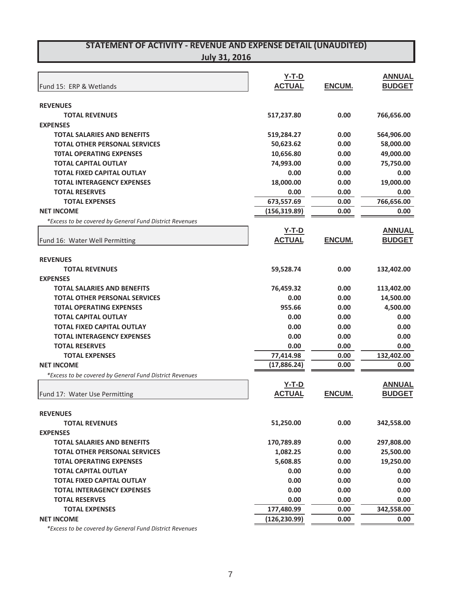| <b>July 31, 2016</b> |  |
|----------------------|--|
|                      |  |

|                                                         | $Y-T-D$       |               | <b>ANNUAL</b> |
|---------------------------------------------------------|---------------|---------------|---------------|
| Fund 15: ERP & Wetlands                                 | <b>ACTUAL</b> | <b>ENCUM.</b> | <b>BUDGET</b> |
|                                                         |               |               |               |
| <b>REVENUES</b><br><b>TOTAL REVENUES</b>                | 517,237.80    | 0.00          | 766,656.00    |
| <b>EXPENSES</b>                                         |               |               |               |
| <b>TOTAL SALARIES AND BENEFITS</b>                      | 519,284.27    | 0.00          | 564,906.00    |
| <b>TOTAL OTHER PERSONAL SERVICES</b>                    | 50,623.62     | 0.00          | 58,000.00     |
| <b>TOTAL OPERATING EXPENSES</b>                         | 10,656.80     | 0.00          | 49,000.00     |
| <b>TOTAL CAPITAL OUTLAY</b>                             | 74,993.00     | 0.00          | 75,750.00     |
| <b>TOTAL FIXED CAPITAL OUTLAY</b>                       | 0.00          | 0.00          | 0.00          |
| <b>TOTAL INTERAGENCY EXPENSES</b>                       | 18,000.00     | 0.00          | 19,000.00     |
| <b>TOTAL RESERVES</b>                                   | 0.00          | 0.00          | 0.00          |
| <b>TOTAL EXPENSES</b>                                   | 673,557.69    | 0.00          | 766,656.00    |
| <b>NET INCOME</b>                                       | (156, 319.89) | 0.00          | 0.00          |
| *Excess to be covered by General Fund District Revenues |               |               |               |
|                                                         | <u>Y-T-D</u>  |               | <b>ANNUAL</b> |
| Fund 16: Water Well Permitting                          | <b>ACTUAL</b> | <b>ENCUM.</b> | <b>BUDGET</b> |
|                                                         |               |               |               |
| <b>REVENUES</b>                                         |               |               |               |
| <b>TOTAL REVENUES</b>                                   | 59,528.74     | 0.00          | 132,402.00    |
| <b>EXPENSES</b>                                         |               |               |               |
| <b>TOTAL SALARIES AND BENEFITS</b>                      | 76,459.32     | 0.00          | 113,402.00    |
| <b>TOTAL OTHER PERSONAL SERVICES</b>                    | 0.00          | 0.00          | 14,500.00     |
| <b>TOTAL OPERATING EXPENSES</b>                         | 955.66        | 0.00          | 4,500.00      |
| <b>TOTAL CAPITAL OUTLAY</b>                             | 0.00          | 0.00          | 0.00          |
| <b>TOTAL FIXED CAPITAL OUTLAY</b>                       | 0.00          | 0.00          | 0.00          |
| <b>TOTAL INTERAGENCY EXPENSES</b>                       | 0.00          | 0.00          | 0.00          |
| <b>TOTAL RESERVES</b>                                   | 0.00          | 0.00          | 0.00          |
| <b>TOTAL EXPENSES</b>                                   | 77,414.98     | 0.00          | 132,402.00    |
| <b>NET INCOME</b>                                       | (17,886.24)   | 0.00          | 0.00          |
| *Excess to be covered by General Fund District Revenues |               |               |               |
|                                                         | <u>Y-T-D</u>  |               | <b>ANNUAL</b> |
| Fund 17: Water Use Permitting                           | <b>ACTUAL</b> | <b>ENCUM.</b> | <b>BUDGET</b> |
| <b>REVENUES</b>                                         |               |               |               |
| <b>TOTAL REVENUES</b>                                   |               | 0.00          |               |
| <b>EXPENSES</b>                                         | 51,250.00     |               | 342,558.00    |
| <b>TOTAL SALARIES AND BENEFITS</b>                      | 170,789.89    | 0.00          | 297,808.00    |
| <b>TOTAL OTHER PERSONAL SERVICES</b>                    | 1,082.25      | 0.00          | 25,500.00     |
| <b>TOTAL OPERATING EXPENSES</b>                         | 5,608.85      | 0.00          | 19,250.00     |
| <b>TOTAL CAPITAL OUTLAY</b>                             | 0.00          | 0.00          | 0.00          |
| <b>TOTAL FIXED CAPITAL OUTLAY</b>                       | 0.00          | 0.00          | 0.00          |
| <b>TOTAL INTERAGENCY EXPENSES</b>                       | 0.00          | 0.00          | 0.00          |
| <b>TOTAL RESERVES</b>                                   | 0.00          | 0.00          | 0.00          |
| <b>TOTAL EXPENSES</b>                                   | 177,480.99    | 0.00          | 342,558.00    |
| <b>NET INCOME</b>                                       | (126, 230.99) | 0.00          | 0.00          |
|                                                         |               |               |               |

*\*Excess to be covered by General Fund District Revenues*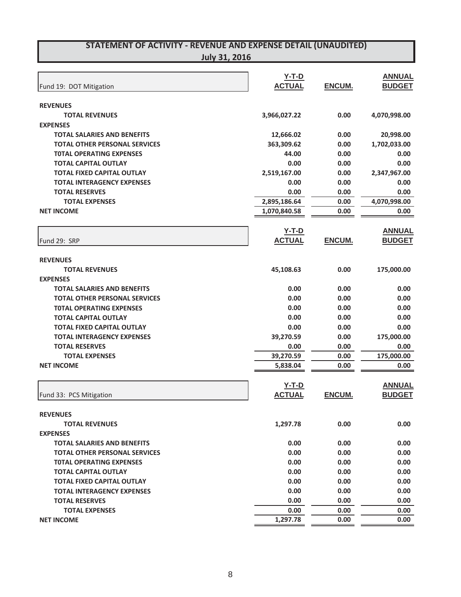| JUIV 31. ZUJ |  |
|--------------|--|
|              |  |

|                                      | <b>Y-T-D</b>  |               | <b>ANNUAL</b> |
|--------------------------------------|---------------|---------------|---------------|
| Fund 19: DOT Mitigation              | <b>ACTUAL</b> | ENCUM.        | <b>BUDGET</b> |
| <b>REVENUES</b>                      |               |               |               |
| <b>TOTAL REVENUES</b>                | 3,966,027.22  | 0.00          | 4,070,998.00  |
| <b>EXPENSES</b>                      |               |               |               |
| <b>TOTAL SALARIES AND BENEFITS</b>   | 12,666.02     | 0.00          | 20,998.00     |
| <b>TOTAL OTHER PERSONAL SERVICES</b> | 363,309.62    | 0.00          | 1,702,033.00  |
| <b>TOTAL OPERATING EXPENSES</b>      | 44.00         | 0.00          | 0.00          |
| <b>TOTAL CAPITAL OUTLAY</b>          | 0.00          | 0.00          | 0.00          |
| <b>TOTAL FIXED CAPITAL OUTLAY</b>    | 2,519,167.00  | 0.00          | 2,347,967.00  |
| <b>TOTAL INTERAGENCY EXPENSES</b>    | 0.00          | 0.00          | 0.00          |
| <b>TOTAL RESERVES</b>                | 0.00          | 0.00          | 0.00          |
| <b>TOTAL EXPENSES</b>                | 2,895,186.64  | 0.00          | 4,070,998.00  |
| <b>NET INCOME</b>                    | 1,070,840.58  | 0.00          | 0.00          |
|                                      | <b>Y-T-D</b>  |               | <b>ANNUAL</b> |
| Fund 29: SRP                         | <b>ACTUAL</b> | ENCUM.        | <b>BUDGET</b> |
| <b>REVENUES</b>                      |               |               |               |
| <b>TOTAL REVENUES</b>                | 45,108.63     | 0.00          | 175,000.00    |
| <b>EXPENSES</b>                      |               |               |               |
| <b>TOTAL SALARIES AND BENEFITS</b>   | 0.00          | 0.00          | 0.00          |
| <b>TOTAL OTHER PERSONAL SERVICES</b> | 0.00          | 0.00          | 0.00          |
| <b>TOTAL OPERATING EXPENSES</b>      | 0.00          | 0.00          | 0.00          |
| <b>TOTAL CAPITAL OUTLAY</b>          | 0.00          | 0.00          | 0.00          |
| <b>TOTAL FIXED CAPITAL OUTLAY</b>    | 0.00          | 0.00          | 0.00          |
| <b>TOTAL INTERAGENCY EXPENSES</b>    | 39,270.59     | 0.00          | 175,000.00    |
| <b>TOTAL RESERVES</b>                | 0.00          | 0.00          | 0.00          |
| <b>TOTAL EXPENSES</b>                | 39,270.59     | 0.00          | 175,000.00    |
| <b>NET INCOME</b>                    | 5,838.04      | 0.00          | 0.00          |
|                                      | <b>Y-T-D</b>  |               | <b>ANNUAL</b> |
| Fund 33: PCS Mitigation              | <b>ACTUAL</b> | <b>ENCUM.</b> | <b>BUDGET</b> |
| <b>REVENUES</b>                      |               |               |               |
| <b>TOTAL REVENUES</b>                | 1,297.78      | 0.00          | 0.00          |
| <b>EXPENSES</b>                      |               |               |               |
| <b>TOTAL SALARIES AND BENEFITS</b>   | 0.00          | 0.00          | 0.00          |
| <b>TOTAL OTHER PERSONAL SERVICES</b> | 0.00          | 0.00          | 0.00          |
| <b>TOTAL OPERATING EXPENSES</b>      | 0.00          | 0.00          | 0.00          |
| <b>TOTAL CAPITAL OUTLAY</b>          | 0.00          | 0.00          | 0.00          |
| <b>TOTAL FIXED CAPITAL OUTLAY</b>    | 0.00          | 0.00          | 0.00          |
| <b>TOTAL INTERAGENCY EXPENSES</b>    | 0.00          | 0.00          | 0.00          |
| <b>TOTAL RESERVES</b>                | 0.00          | 0.00          | 0.00          |
| <b>TOTAL EXPENSES</b>                | 0.00          | 0.00          | 0.00          |
| <b>NET INCOME</b>                    | 1,297.78      | 0.00          | 0.00          |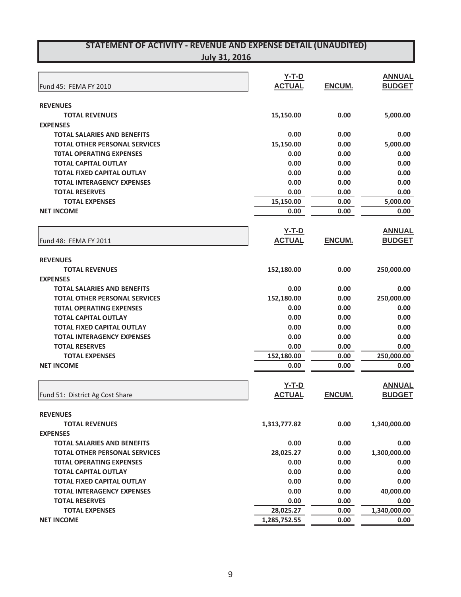| <b>July 31, 2016</b> |
|----------------------|
|----------------------|

|                                                                            | $Y-T-D$       |               | <b>ANNUAL</b> |
|----------------------------------------------------------------------------|---------------|---------------|---------------|
| Fund 45: FEMA FY 2010                                                      | <b>ACTUAL</b> | ENCUM.        | <b>BUDGET</b> |
|                                                                            |               |               |               |
| <b>REVENUES</b>                                                            |               | 0.00          |               |
| <b>TOTAL REVENUES</b>                                                      | 15,150.00     |               | 5,000.00      |
| <b>EXPENSES</b>                                                            |               |               |               |
| <b>TOTAL SALARIES AND BENEFITS</b><br><b>TOTAL OTHER PERSONAL SERVICES</b> | 0.00          | 0.00          | 0.00          |
|                                                                            | 15,150.00     | 0.00          | 5,000.00      |
| <b>TOTAL OPERATING EXPENSES</b>                                            | 0.00          | 0.00          | 0.00          |
| <b>TOTAL CAPITAL OUTLAY</b>                                                | 0.00          | 0.00          | 0.00          |
| <b>TOTAL FIXED CAPITAL OUTLAY</b>                                          | 0.00          | 0.00          | 0.00          |
| <b>TOTAL INTERAGENCY EXPENSES</b>                                          | 0.00          | 0.00          | 0.00          |
| <b>TOTAL RESERVES</b>                                                      | 0.00          | 0.00          | 0.00          |
| <b>TOTAL EXPENSES</b>                                                      | 15,150.00     | 0.00          | 5,000.00      |
| <b>NET INCOME</b>                                                          | 0.00          | 0.00          | 0.00          |
|                                                                            | $Y-T-D$       |               | <b>ANNUAL</b> |
|                                                                            | <b>ACTUAL</b> | ENCUM.        | <b>BUDGET</b> |
| Fund 48: FEMA FY 2011                                                      |               |               |               |
| <b>REVENUES</b>                                                            |               |               |               |
| <b>TOTAL REVENUES</b>                                                      | 152,180.00    | 0.00          | 250,000.00    |
| <b>EXPENSES</b>                                                            |               |               |               |
| <b>TOTAL SALARIES AND BENEFITS</b>                                         | 0.00          | 0.00          | 0.00          |
| <b>TOTAL OTHER PERSONAL SERVICES</b>                                       | 152,180.00    | 0.00          | 250,000.00    |
| <b>TOTAL OPERATING EXPENSES</b>                                            | 0.00          | 0.00          | 0.00          |
| <b>TOTAL CAPITAL OUTLAY</b>                                                | 0.00          | 0.00          | 0.00          |
| <b>TOTAL FIXED CAPITAL OUTLAY</b>                                          | 0.00          | 0.00          | 0.00          |
| <b>TOTAL INTERAGENCY EXPENSES</b>                                          | 0.00          | 0.00          | 0.00          |
| <b>TOTAL RESERVES</b>                                                      | 0.00          | 0.00          | 0.00          |
| <b>TOTAL EXPENSES</b>                                                      | 152,180.00    | 0.00          | 250,000.00    |
| <b>NET INCOME</b>                                                          | 0.00          | 0.00          | 0.00          |
|                                                                            |               |               |               |
|                                                                            | $Y-T-D$       |               | <b>ANNUAL</b> |
| Fund 51: District Ag Cost Share                                            | <b>ACTUAL</b> | <b>ENCUM.</b> | <b>BUDGET</b> |
|                                                                            |               |               |               |
| <b>REVENUES</b>                                                            |               |               |               |
| <b>TOTAL REVENUES</b>                                                      | 1,313,777.82  | 0.00          | 1,340,000.00  |
| <b>EXPENSES</b>                                                            |               |               |               |
| <b>TOTAL SALARIES AND BENEFITS</b>                                         | 0.00          | 0.00          | 0.00          |
| <b>TOTAL OTHER PERSONAL SERVICES</b>                                       | 28,025.27     | 0.00          | 1,300,000.00  |
| <b>TOTAL OPERATING EXPENSES</b>                                            | 0.00          | 0.00          | 0.00          |
| <b>TOTAL CAPITAL OUTLAY</b>                                                | 0.00          | 0.00          | 0.00          |
| <b>TOTAL FIXED CAPITAL OUTLAY</b>                                          | 0.00          | 0.00          | 0.00          |
| <b>TOTAL INTERAGENCY EXPENSES</b>                                          | 0.00          | 0.00          | 40,000.00     |
| <b>TOTAL RESERVES</b>                                                      | 0.00          | 0.00          | 0.00          |
| <b>TOTAL EXPENSES</b>                                                      | 28,025.27     | 0.00          | 1,340,000.00  |
| <b>NET INCOME</b>                                                          | 1,285,752.55  | 0.00          | 0.00          |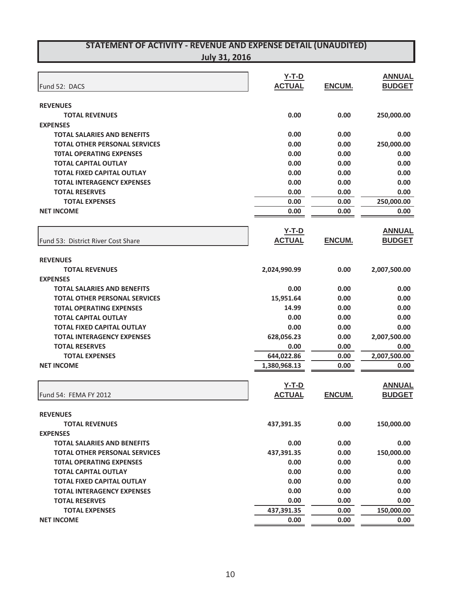| <b>July 31, 2016</b> |
|----------------------|
|----------------------|

| Fund 52: DACS                        | $Y-T-D$<br><b>ACTUAL</b> | ENCUM.        | <b>ANNUAL</b><br><b>BUDGET</b> |
|--------------------------------------|--------------------------|---------------|--------------------------------|
|                                      |                          |               |                                |
| <b>REVENUES</b>                      |                          |               |                                |
| <b>TOTAL REVENUES</b>                | 0.00                     | 0.00          | 250,000.00                     |
| <b>EXPENSES</b>                      |                          |               |                                |
| <b>TOTAL SALARIES AND BENEFITS</b>   | 0.00                     | 0.00          | 0.00                           |
| <b>TOTAL OTHER PERSONAL SERVICES</b> | 0.00                     | 0.00          | 250,000.00                     |
| <b>TOTAL OPERATING EXPENSES</b>      | 0.00                     | 0.00          | 0.00                           |
| <b>TOTAL CAPITAL OUTLAY</b>          | 0.00                     | 0.00          | 0.00                           |
| <b>TOTAL FIXED CAPITAL OUTLAY</b>    | 0.00                     | 0.00          | 0.00                           |
| <b>TOTAL INTERAGENCY EXPENSES</b>    | 0.00                     | 0.00          | 0.00                           |
| <b>TOTAL RESERVES</b>                | 0.00                     | 0.00          | 0.00                           |
| <b>TOTAL EXPENSES</b>                | 0.00                     | 0.00          | 250,000.00                     |
| <b>NET INCOME</b>                    | 0.00                     | 0.00          | 0.00                           |
|                                      | $Y-T-D$                  |               | <b>ANNUAL</b>                  |
| Fund 53: District River Cost Share   | <b>ACTUAL</b>            | ENCUM.        | <b>BUDGET</b>                  |
|                                      |                          |               |                                |
| <b>REVENUES</b>                      |                          |               |                                |
| <b>TOTAL REVENUES</b>                | 2,024,990.99             | 0.00          | 2,007,500.00                   |
| <b>EXPENSES</b>                      |                          |               |                                |
| <b>TOTAL SALARIES AND BENEFITS</b>   | 0.00                     | 0.00          | 0.00                           |
| <b>TOTAL OTHER PERSONAL SERVICES</b> | 15,951.64                | 0.00          | 0.00                           |
| <b>TOTAL OPERATING EXPENSES</b>      | 14.99                    | 0.00          | 0.00                           |
| <b>TOTAL CAPITAL OUTLAY</b>          | 0.00                     | 0.00          | 0.00                           |
| <b>TOTAL FIXED CAPITAL OUTLAY</b>    | 0.00                     | 0.00          | 0.00                           |
| <b>TOTAL INTERAGENCY EXPENSES</b>    | 628,056.23               | 0.00          | 2,007,500.00                   |
| <b>TOTAL RESERVES</b>                | 0.00                     | 0.00          | 0.00                           |
| <b>TOTAL EXPENSES</b>                | 644,022.86               | 0.00          | 2,007,500.00                   |
| <b>NET INCOME</b>                    | 1,380,968.13             | 0.00          | 0.00                           |
|                                      | $Y-T-D$                  |               | <b>ANNUAL</b>                  |
|                                      | <b>ACTUAL</b>            | <b>ENCUM.</b> | <b>BUDGET</b>                  |
| Fund 54: FEMA FY 2012                |                          |               |                                |
| <b>REVENUES</b>                      |                          |               |                                |
| <b>TOTAL REVENUES</b>                | 437,391.35               | 0.00          | 150,000.00                     |
| <b>EXPENSES</b>                      |                          |               |                                |
| <b>TOTAL SALARIES AND BENEFITS</b>   | 0.00                     | 0.00          | 0.00                           |
| <b>TOTAL OTHER PERSONAL SERVICES</b> | 437,391.35               | 0.00          | 150,000.00                     |
| <b>TOTAL OPERATING EXPENSES</b>      | 0.00                     | 0.00          | 0.00                           |
| <b>TOTAL CAPITAL OUTLAY</b>          | 0.00                     | 0.00          | 0.00                           |
| <b>TOTAL FIXED CAPITAL OUTLAY</b>    | 0.00                     | 0.00          | 0.00                           |
| <b>TOTAL INTERAGENCY EXPENSES</b>    | 0.00                     | 0.00          | 0.00                           |
| <b>TOTAL RESERVES</b>                | 0.00                     | 0.00          | 0.00                           |
| <b>TOTAL EXPENSES</b>                | 437,391.35               | 0.00          | 150,000.00                     |
| <b>NET INCOME</b>                    | 0.00                     | 0.00          | 0.00                           |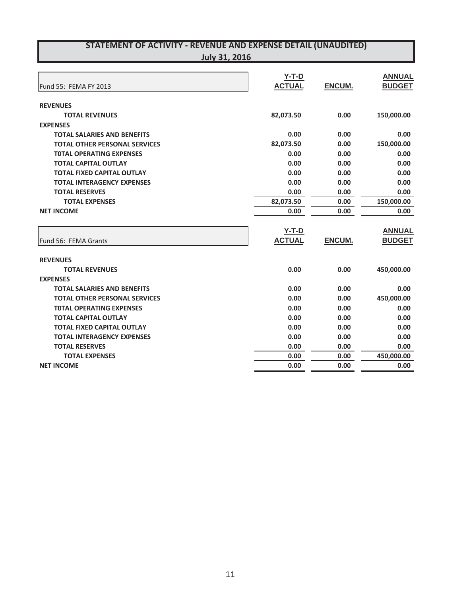| Fund 55: FEMA FY 2013                | $Y-T-D$<br><b>ACTUAL</b> | <b>ENCUM.</b> | <b>ANNUAL</b><br><b>BUDGET</b> |
|--------------------------------------|--------------------------|---------------|--------------------------------|
| <b>REVENUES</b>                      |                          |               |                                |
| <b>TOTAL REVENUES</b>                | 82,073.50                | 0.00          | 150,000.00                     |
| <b>EXPENSES</b>                      |                          |               |                                |
| <b>TOTAL SALARIES AND BENEFITS</b>   | 0.00                     | 0.00          | 0.00                           |
| <b>TOTAL OTHER PERSONAL SERVICES</b> | 82,073.50                | 0.00          | 150,000.00                     |
| <b>TOTAL OPERATING EXPENSES</b>      | 0.00                     | 0.00          | 0.00                           |
| <b>TOTAL CAPITAL OUTLAY</b>          | 0.00                     | 0.00          | 0.00                           |
| <b>TOTAL FIXED CAPITAL OUTLAY</b>    | 0.00                     | 0.00          | 0.00                           |
| <b>TOTAL INTERAGENCY EXPENSES</b>    | 0.00                     | 0.00          | 0.00                           |
| <b>TOTAL RESERVES</b>                | 0.00                     | 0.00          | 0.00                           |
| <b>TOTAL EXPENSES</b>                | 82,073.50                | 0.00          | 150,000.00                     |
| <b>NET INCOME</b>                    | 0.00                     | 0.00          | 0.00                           |
|                                      |                          |               |                                |
|                                      | $Y-T-D$                  |               | <b>ANNUAL</b>                  |
| Fund 56: FEMA Grants                 | <b>ACTUAL</b>            | <b>ENCUM.</b> | <b>BUDGET</b>                  |
| <b>REVENUES</b>                      |                          |               |                                |
| <b>TOTAL REVENUES</b>                | 0.00                     | 0.00          | 450,000.00                     |
| <b>EXPENSES</b>                      |                          |               |                                |
| <b>TOTAL SALARIES AND BENEFITS</b>   | 0.00                     | 0.00          | 0.00                           |
| <b>TOTAL OTHER PERSONAL SERVICES</b> | 0.00                     | 0.00          | 450,000.00                     |
| <b>TOTAL OPERATING EXPENSES</b>      | 0.00                     | 0.00          | 0.00                           |
| <b>TOTAL CAPITAL OUTLAY</b>          | 0.00                     | 0.00          | 0.00                           |
| <b>TOTAL FIXED CAPITAL OUTLAY</b>    | 0.00                     | 0.00          | 0.00                           |
| <b>TOTAL INTERAGENCY EXPENSES</b>    | 0.00                     | 0.00          | 0.00                           |
| <b>TOTAL RESERVES</b>                | 0.00                     | 0.00          | 0.00                           |
| <b>TOTAL EXPENSES</b>                | 0.00                     | 0.00          | 450,000.00                     |
| <b>NET INCOME</b>                    | 0.00                     | 0.00          | 0.00                           |